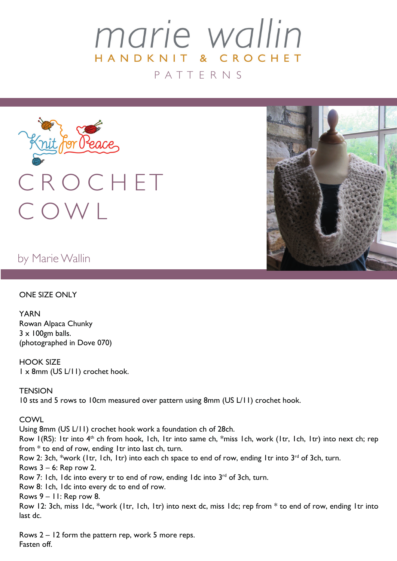# marie wallin HANDKNIT & CROCHET P A T T E R N S



by Marie Wallin

### ONE SIZE ONLY

YARN Rowan Alpaca Chunky  $3 \times 100$ gm balls. (photographed in Dove 070)

HOOK SIZE 1 x 8mm (US L/11) crochet hook.

**TFNSION** 10 sts and 5 rows to 10cm measured over pattern using 8mm (US L/11) crochet hook.

### **COWL**

Using 8mm (US L/11) crochet hook work a foundation ch of 28ch. Row 1(RS): 1tr into 4<sup>th</sup> ch from hook, 1ch, 1tr into same ch, \*miss 1ch, work (1tr, 1ch, 1tr) into next ch; rep from \* to end of row, ending 1tr into last ch, turn. Row 2: 3ch, \*work (1tr, 1ch, 1tr) into each ch space to end of row, ending 1tr into 3<sup>rd</sup> of 3ch, turn. Rows 3 – 6: Rep row 2. Row 7: 1ch, 1dc into every tr to end of row, ending 1dc into  $3<sup>rd</sup>$  of 3ch, turn. Row 8: 1ch, 1dc into every dc to end of row. Rows  $9 - 11$ : Rep row 8. Row 12: 3ch, miss 1dc, \*work (1tr, 1ch, 1tr) into next dc, miss 1dc; rep from \* to end of row, ending 1tr into last dc.

Rows 2 – 12 form the pattern rep, work 5 more reps. Fasten off.